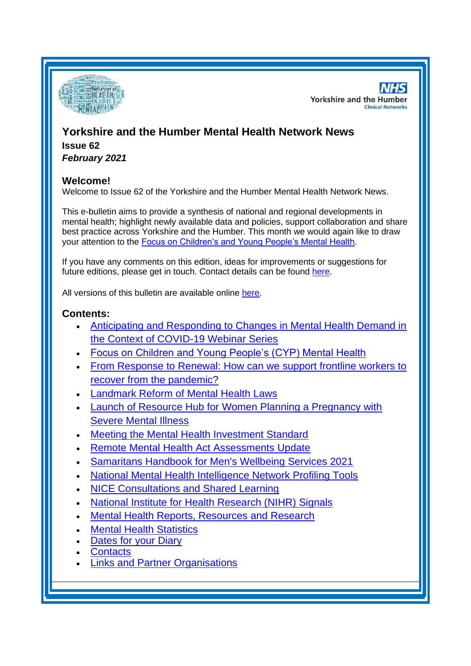

**NHS Yorkshire and the Humber Clinical Networks** 

# **Yorkshire and the Humber Mental Health Network News Issue 62** *February 2021*

# **Welcome!**

Welcome to Issue 62 of the Yorkshire and the Humber Mental Health Network News.

This e-bulletin aims to provide a synthesis of national and regional developments in mental health; highlight newly available data and policies, support collaboration and share best practice across Yorkshire and the Humber. This month we would again like to draw your attention to the [Focus on Children's and Young People's Mental Health.](#page-1-0)

If you have any comments on this edition, ideas for improvements or suggestions for future editions, please get in touch. Contact details can be found [here.](#page-8-0)

All versions of this bulletin are available online [here.](http://www.yhscn.nhs.uk/mental-health-clinic/mental-health-network/MH-documents-and-links.php)

# **Contents:**

- [Anticipating and Responding to Changes in Mental Health Demand in](#page-1-1)  [the Context of COVID-19 Webinar Series](#page-1-1)
- [Focus on Children and Young People's \(CYP\) Mental Health](#page-1-0)
- From Response to Renewal: How can we support frontline workers to [recover from the pandemic?](#page-2-0)
- [Landmark Reform of Mental Health Laws](#page-2-1)
- [Launch of Resource Hub for Women Planning a Pregnancy with](#page-3-0)  [Severe Mental Illness](#page-3-0)
- [Meeting the Mental Health Investment Standard](#page-3-1)
- [Remote Mental Health Act Assessments Update](#page-3-2)
- [Samaritans Handbook for Men's Wellbeing Services 2021](#page-4-0)
- National Mental Health Intelligence Network Profiling Tools
- [NICE Consultations and Shared Learning](#page-4-1)
- [National Institute for Health Research \(NIHR\) Signals](#page-4-1)
- [Mental Health Reports, Resources and](#page-5-0) Research
- **[Mental Health Statistics](#page-6-0)**
- [Dates for your Diary](#page-7-0)
- **[Contacts](#page-8-0)**
- **Links and [Partner Organisations](#page-8-1)**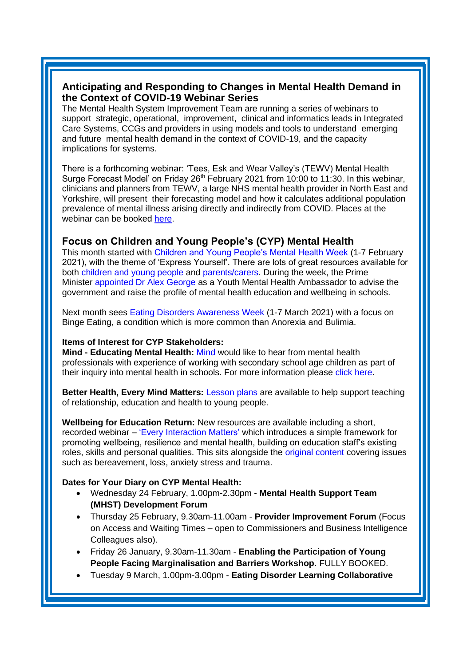### <span id="page-1-1"></span>**Anticipating and Responding to Changes in Mental Health Demand in the Context of COVID-19 Webinar Series**

The Mental Health System Improvement Team are running a series of webinars to support strategic, operational, improvement, clinical and informatics leads in Integrated Care Systems, CCGs and providers in using models and tools to understand emerging and future mental health demand in the context of COVID-19, and the capacity implications for systems.

There is a forthcoming webinar: 'Tees, Esk and Wear Valley's (TEWV) Mental Health Surge Forecast Model' on Friday 26<sup>th</sup> February 2021 from 10:00 to 11:30. In this webinar, clinicians and planners from TEWV, a large NHS mental health provider in North East and Yorkshire, will present their forecasting model and how it calculates additional population prevalence of mental illness arising directly and indirectly from COVID. Places at the webinar can be booked [here.](https://www.events.england.nhs.uk/events/tewv-mental-health-surge-forecast-model-webinar)

### <span id="page-1-0"></span>**Focus on Children and Young People's (CYP) Mental Health**

This month started with [Children and Young People's Mental Health Week](https://www.childrensmentalhealthweek.org.uk/) (1-7 February 2021), with the theme of 'Express Yourself'. There are lots of great resources available for both [children and young people](https://www.england.nhs.uk/blog/what-to-do-if-youre-a-young-person-and-its-all-getting-too-much-2/) and [parents/carers.](https://www.england.nhs.uk/blog/advice-for-parents-guardians-and-carers-on-how-to-support-a-child-or-young-person-if-youre-concerned-about-their-mental-health/) During the week, the Prime Minister [appointed Dr Alex George](https://www.gov.uk/government/news/prime-minister-appoints-dr-alex-george-as-youth-mental-health-ambassador) as a Youth Mental Health Ambassador to advise the government and raise the profile of mental health education and wellbeing in schools.

Next month sees [Eating Disorders Awareness Week](https://www.beateatingdisorders.org.uk/edaw) (1-7 March 2021) with a focus on Binge Eating, a condition which is more common than Anorexia and Bulimia.

#### **Items of Interest for CYP Stakeholders:**

**Mind - Educating Mental Health:** [Mind](https://www.mind.org.uk/) would like to hear from mental health professionals with experience of working with secondary school age children as part of their inquiry into mental health in schools. For more information please [click here.](https://www.mind.org.uk/news-campaigns/campaigns/educating-mental-health-minds-inquiry-into-mental-health-in-schools/)

**Better Health, Every Mind Matters:** [Lesson plans](https://campaignresources.phe.gov.uk/schools/topics/mental-wellbeing/overview?utm_source=recruitment_smc&utm_medium=email&utm_campaign=jan21_edcoms_emm_subscriber&utm_content=sleep#sleep) are available to help support teaching of relationship, education and health to young people.

**Wellbeing for Education Return:** New resources are available including a short, recorded webinar – ['Every Interaction Matters'](https://www.minded.org.uk/Component/Details/685525) which introduces a simple framework for promoting wellbeing, resilience and mental health, building on education staff's existing roles, skills and personal qualities. This sits alongside the [original content](https://www.minded.org.uk/Catalogue/Index?HierarchyId=0_48943_49165&programmeId=48943) covering issues such as bereavement, loss, anxiety stress and trauma.

#### **Dates for Your Diary on CYP Mental Health:**

- Wednesday 24 February, 1.00pm-2.30pm **Mental Health Support Team (MHST) Development Forum**
- Thursday 25 February, 9.30am-11.00am **Provider Improvement Forum** (Focus on Access and Waiting Times – open to Commissioners and Business Intelligence Colleagues also).
- Friday 26 January, 9.30am-11.30am **Enabling the Participation of Young People Facing Marginalisation and Barriers Workshop.** FULLY BOOKED.
- Tuesday 9 March, 1.00pm-3.00pm **Eating Disorder Learning Collaborative**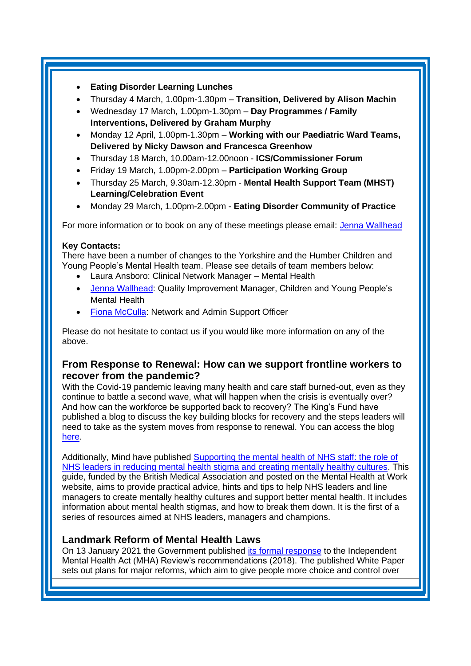- **Eating Disorder Learning Lunches**
- Thursday 4 March, 1.00pm-1.30pm **Transition, Delivered by Alison Machin**
- Wednesday 17 March, 1.00pm-1.30pm **Day Programmes / Family Interventions, Delivered by Graham Murphy**
- Monday 12 April, 1.00pm-1.30pm **Working with our Paediatric Ward Teams, Delivered by Nicky Dawson and Francesca Greenhow**
- Thursday 18 March, 10.00am-12.00noon **ICS/Commissioner Forum**
- Friday 19 March, 1.00pm-2.00pm **Participation Working Group**
- Thursday 25 March, 9.30am-12.30pm **Mental Health Support Team (MHST) Learning/Celebration Event**
- Monday 29 March, 1.00pm-2.00pm **Eating Disorder Community of Practice**

For more information or to book on any of these meetings please email: [Jenna Wallhead](mailto:jenna.wallhead@nhs.net)

#### **Key Contacts:**

There have been a number of changes to the Yorkshire and the Humber Children and Young People's Mental Health team. Please see details of team members below:

- Laura Ansboro: Clinical Network Manager Mental Health
- [Jenna Wallhead:](mailto:jenna.wallhead@nhs.net) Quality Improvement Manager, Children and Young People's Mental Health
- Fiona [McCulla:](mailto:fiona.mcculla@nhs.net) Network and Admin Support Officer

Please do not hesitate to contact us if you would like more information on any of the above.

### <span id="page-2-0"></span>**From Response to Renewal: How can we support frontline workers to recover from the pandemic?**

With the Covid-19 pandemic leaving many health and care staff burned-out, even as they continue to battle a second wave, what will happen when the crisis is eventually over? And how can the workforce be supported back to recovery? The King's Fund have published a blog to discuss the key building blocks for recovery and the steps leaders will need to take as the system moves from response to renewal. You can access the blog [here.](https://www.kingsfund.org.uk/blog/2021/01/recovery-and-then-renewal-innovation-health-and-care-covid-19?utm_source=The%20King%27s%20Fund%20newsletters%20%28main%20account%29&utm_medium=email&utm_campaign=12132736_NEWSL_The%20Weekly%20Update%202021-01-29&utm_content=recovery_renewal_blog&dm_i=21A8,781OG,FLWT3F,T9T6R,1)

Additionally, Mind have published [Supporting the mental health of NHS staff: the role of](https://cdn.mentalhealthatwork.org.uk/wp-content/uploads/2021/02/02114357/BMA-Stigma-Resource-.pdf?utm_source=The%20King%27s%20Fund%20newsletters%20%28main%20account%29&utm_medium=email&utm_campaign=12146646_NEWSL_HMP%202021-02-09&dm_i=21A8,78CEU,FLWT3F,TBUP5,1)  [NHS leaders in reducing mental health stigma and creating mentally healthy cultures.](https://cdn.mentalhealthatwork.org.uk/wp-content/uploads/2021/02/02114357/BMA-Stigma-Resource-.pdf?utm_source=The%20King%27s%20Fund%20newsletters%20%28main%20account%29&utm_medium=email&utm_campaign=12146646_NEWSL_HMP%202021-02-09&dm_i=21A8,78CEU,FLWT3F,TBUP5,1) This guide, funded by the British Medical Association and posted on the Mental Health at Work website, aims to provide practical advice, hints and tips to help NHS leaders and line managers to create mentally healthy cultures and support better mental health. It includes information about mental health stigmas, and how to break them down. It is the first of a series of resources aimed at NHS leaders, managers and champions.

# <span id="page-2-1"></span>**Landmark Reform of Mental Health Laws**

On 13 January 2021 the Government published [its formal response](https://assets.publishing.service.gov.uk/government/uploads/system/uploads/attachment_data/file/951398/mental-health-act-white-paper-web-accessible.pdf) to the Independent Mental Health Act (MHA) Review's recommendations (2018). The published White Paper sets out plans for major reforms, which aim to give people more choice and control over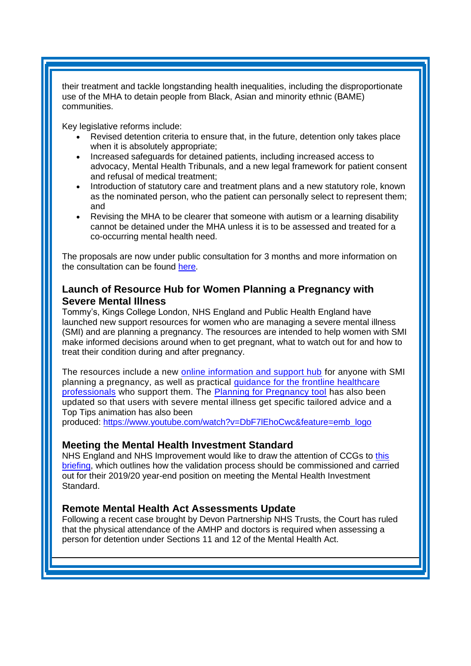their treatment and tackle longstanding health inequalities, including the disproportionate use of the MHA to detain people from Black, Asian and minority ethnic (BAME) communities.

Key legislative reforms include:

- Revised detention criteria to ensure that, in the future, detention only takes place when it is absolutely appropriate;
- Increased safeguards for detained patients, including increased access to advocacy, Mental Health Tribunals, and a new legal framework for patient consent and refusal of medical treatment;
- Introduction of statutory care and treatment plans and a new statutory role, known as the nominated person, who the patient can personally select to represent them; and
- Revising the MHA to be clearer that someone with autism or a learning disability cannot be detained under the MHA unless it is to be assessed and treated for a co-occurring mental health need.

The proposals are now under public consultation for 3 months and more information on the consultation can be found [here.](https://www.gov.uk/government/consultations/reforming-the-mental-health-act/reforming-the-mental-health-act)

# <span id="page-3-0"></span>**Launch of Resource Hub for Women Planning a Pregnancy with Severe Mental Illness**

Tommy's, Kings College London, NHS England and Public Health England have launched new support resources for women who are managing a severe mental illness (SMI) and are planning a pregnancy. The resources are intended to help women with SMI make informed decisions around when to get pregnant, what to watch out for and how to treat their condition during and after pregnancy.

The resources include a new [online information and support hub](https://eur01.safelinks.protection.outlook.com/?url=http%3A%2F%2Fwww.tommys.org%2Fplanning-a-pregnancy-and-mental-illness&data=04%7C01%7CLaura.Hodgson%40phe.gov.uk%7C678fc8774cec42a8b8a708d8d1b281e1%7Cee4e14994a354b2ead475f3cf9de8666%7C0%7C0%7C637489911911319665%7CUnknown%7CTWFpbGZsb3d8eyJWIjoiMC4wLjAwMDAiLCJQIjoiV2luMzIiLCJBTiI6Ik1haWwiLCJXVCI6Mn0%3D%7C1000&sdata=VSL5erfDM54cBE45zlsflh%2FlmvH8eFrZGUHa1a3eC4A%3D&reserved=0) for anyone with SMI planning a pregnancy, as well as practical [guidance for the frontline healthcare](https://eur01.safelinks.protection.outlook.com/?url=https%3A%2F%2Fwww.tommys.org%2Fpregnancyhub%2Fhealth-professionals%2Ffree-pregnancy-resources%2Fguide-delivering-preconception-care&data=04%7C01%7CLaura.Hodgson%40phe.gov.uk%7C678fc8774cec42a8b8a708d8d1b281e1%7Cee4e14994a354b2ead475f3cf9de8666%7C0%7C0%7C637489911911324649%7CUnknown%7CTWFpbGZsb3d8eyJWIjoiMC4wLjAwMDAiLCJQIjoiV2luMzIiLCJBTiI6Ik1haWwiLCJXVCI6Mn0%3D%7C1000&sdata=iumtKDQ8udHsxWi%2BS4iiN5v5yLnUxmYnUJhS0i2r83M%3D&reserved=0)  [professionals](https://eur01.safelinks.protection.outlook.com/?url=https%3A%2F%2Fwww.tommys.org%2Fpregnancyhub%2Fhealth-professionals%2Ffree-pregnancy-resources%2Fguide-delivering-preconception-care&data=04%7C01%7CLaura.Hodgson%40phe.gov.uk%7C678fc8774cec42a8b8a708d8d1b281e1%7Cee4e14994a354b2ead475f3cf9de8666%7C0%7C0%7C637489911911324649%7CUnknown%7CTWFpbGZsb3d8eyJWIjoiMC4wLjAwMDAiLCJQIjoiV2luMzIiLCJBTiI6Ik1haWwiLCJXVCI6Mn0%3D%7C1000&sdata=iumtKDQ8udHsxWi%2BS4iiN5v5yLnUxmYnUJhS0i2r83M%3D&reserved=0) who support them. The **[Planning for Pregnancy tool](https://eur01.safelinks.protection.outlook.com/?url=http%3A%2F%2Fwww.tommys.org%2Fplanningforpregnancy&data=04%7C01%7CLaura.Hodgson%40phe.gov.uk%7C678fc8774cec42a8b8a708d8d1b281e1%7Cee4e14994a354b2ead475f3cf9de8666%7C0%7C0%7C637489911911329623%7CUnknown%7CTWFpbGZsb3d8eyJWIjoiMC4wLjAwMDAiLCJQIjoiV2luMzIiLCJBTiI6Ik1haWwiLCJXVCI6Mn0%3D%7C1000&sdata=8rdmlf%2FN2ngwX%2BVvv7DZH1MwgElVYhsrYrQdxjZZjm8%3D&reserved=0) has also been** updated so that users with severe mental illness get specific tailored advice and a Top Tips animation has also been

produced: [https://www.youtube.com/watch?v=DbF7lEhoCwc&feature=emb\\_logo](https://eur01.safelinks.protection.outlook.com/?url=https%3A%2F%2Fwww.youtube.com%2Fwatch%3Fv%3DDbF7lEhoCwc%26feature%3Demb_logo&data=04%7C01%7CLaura.Hodgson%40phe.gov.uk%7C678fc8774cec42a8b8a708d8d1b281e1%7Cee4e14994a354b2ead475f3cf9de8666%7C0%7C0%7C637489911911334603%7CUnknown%7CTWFpbGZsb3d8eyJWIjoiMC4wLjAwMDAiLCJQIjoiV2luMzIiLCJBTiI6Ik1haWwiLCJXVCI6Mn0%3D%7C1000&sdata=kGYQe3mwEij3Qg%2BpOjkDR0ddz6YzymCAQ%2BwCRXnqgSs%3D&reserved=0)

### <span id="page-3-1"></span>**Meeting the Mental Health Investment Standard**

NHS England and NHS Improvement would like to draw the attention of CCGs to this [briefing,](https://www.england.nhs.uk/publication/assurance-engagement-of-the-mental-health-investment-standard-briefing-for-clinical-commissioning-groups/) which outlines how the validation process should be commissioned and carried out for their 2019/20 year-end position on meeting the Mental Health Investment Standard.

### <span id="page-3-2"></span>**Remote Mental Health Act Assessments Update**

Following a recent case brought by Devon Partnership NHS Trusts, the Court has ruled that the physical attendance of the AMHP and doctors is required when assessing a person for detention under Sections 11 and 12 of the Mental Health Act.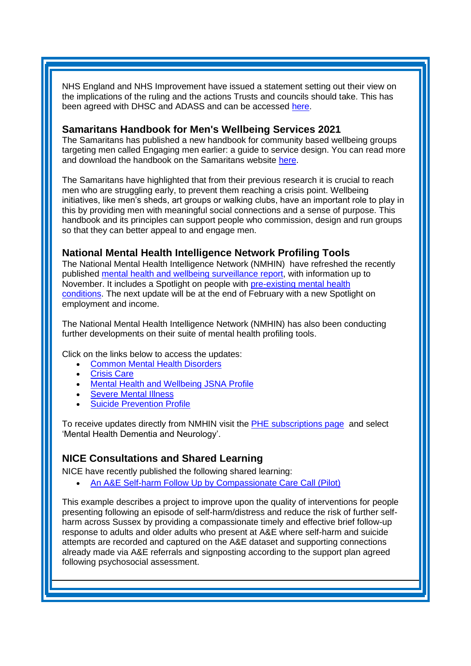NHS England and NHS Improvement have issued a statement setting out their view on the implications of the ruling and the actions Trusts and councils should take. This has been agreed with DHSC and ADASS and can be accessed [here.](https://www.england.nhs.uk/coronavirus/wp-content/uploads/sites/52/2020/04/B0421_Letter-from-Claire-Murdoch-re-Courts-ruling-on-remote-MHA-assessments_040221.pdf)

#### <span id="page-4-0"></span>**Samaritans Handbook for Men's Wellbeing Services 2021**

The Samaritans has published a new handbook for community based wellbeing groups targeting men called Engaging men earlier: a guide to service design. You can read more and download the handbook on the Samaritans website [here.](https://www.samaritans.org/about-samaritans/research-policy/middle-aged-men-suicide/engaging-men-earlier/)

The Samaritans have highlighted that from their previous research it is crucial to reach men who are struggling early, to prevent them reaching a crisis point. Wellbeing initiatives, like men's sheds, art groups or walking clubs, have an important role to play in this by providing men with meaningful social connections and a sense of purpose. This handbook and its principles can support people who commission, design and run groups so that they can better appeal to and engage men.

### **National Mental Health Intelligence Network Profiling Tools**

The National Mental Health Intelligence Network (NMHIN) have refreshed the recently published [mental health and wellbeing surveillance report,](https://lnks.gd/l/eyJhbGciOiJIUzI1NiJ9.eyJidWxsZXRpbl9saW5rX2lkIjoxMDAsInVyaSI6ImJwMjpjbGljayIsImJ1bGxldGluX2lkIjoiMjAyMTAyMTEuMzUwMzc2NjEiLCJ1cmwiOiJodHRwczovL2V1cjAxLnNhZmVsaW5rcy5wcm90ZWN0aW9uLm91dGxvb2suY29tLz91cmw9aHR0cHMlM0ElMkYlMkZ3d3cuZ292LnVrJTJGZ292ZXJubWVudCUyRnB1YmxpY2F0aW9ucyUyRmNvdmlkLTE5LW1lbnRhbC1oZWFsdGgtYW5kLXdlbGxiZWluZy1zdXJ2ZWlsbGFuY2UtcmVwb3J0JmRhdGE9MDQlN0MwMSU3Q1N1ZS5Gb3N0ZXIlNDBwaGUuZ292LnVrJTdDYjUzYmEyYzA4OWIzNDg5ZTE1NDcwOGQ4YzgyYTgyZWQlN0NlZTRlMTQ5OTRhMzU0YjJlYWQ0NzVmM2NmOWRlODY2NiU3QzAlN0MwJTdDNjM3NDc5NDMyMTk2NDM4NTc4JTdDVW5rbm93biU3Q1RXRnBiR1pzYjNkOGV5SldJam9pTUM0d0xqQXdNREFpTENKUUlqb2lWMmx1TXpJaUxDSkJUaUk2SWsxaGFXd2lMQ0pYVkNJNk1uMCUzRCU3QzEwMDAmc2RhdGE9aVNJUUczRkE4ZlM5ZVBGNEwwJTJCZ2tFOGhtcWZORjI0anlIc3U1R2IlMkZveG8lM0QmcmVzZXJ2ZWQ9MCJ9.A4SoaGnCv0GvSagT8kHdy9e4bZmqS4XzNnLRYZDmxGE/s/667909266/br/97444787980-l) with information up to November. It includes a Spotlight on people with [pre-existing mental health](https://lnks.gd/l/eyJhbGciOiJIUzI1NiJ9.eyJidWxsZXRpbl9saW5rX2lkIjoxMDEsInVyaSI6ImJwMjpjbGljayIsImJ1bGxldGluX2lkIjoiMjAyMTAyMTEuMzUwMzc2NjEiLCJ1cmwiOiJodHRwczovL3d3dy5nb3YudWsvZ292ZXJubWVudC9wdWJsaWNhdGlvbnMvY292aWQtMTktbWVudGFsLWhlYWx0aC1hbmQtd2VsbGJlaW5nLXN1cnZlaWxsYW5jZS1zcG90bGlnaHRzL3ByZS1leGlzdGluZy1tZW50YWwtaGVhbHRoLWNvbmRpdGlvbnMtc3BvdGxpZ2h0In0.UFgt47GrdYscluMbeqkK2-ceHo74DHeILpfQbPtmE6A/s/667909266/br/97444787980-l)  [conditions.](https://lnks.gd/l/eyJhbGciOiJIUzI1NiJ9.eyJidWxsZXRpbl9saW5rX2lkIjoxMDEsInVyaSI6ImJwMjpjbGljayIsImJ1bGxldGluX2lkIjoiMjAyMTAyMTEuMzUwMzc2NjEiLCJ1cmwiOiJodHRwczovL3d3dy5nb3YudWsvZ292ZXJubWVudC9wdWJsaWNhdGlvbnMvY292aWQtMTktbWVudGFsLWhlYWx0aC1hbmQtd2VsbGJlaW5nLXN1cnZlaWxsYW5jZS1zcG90bGlnaHRzL3ByZS1leGlzdGluZy1tZW50YWwtaGVhbHRoLWNvbmRpdGlvbnMtc3BvdGxpZ2h0In0.UFgt47GrdYscluMbeqkK2-ceHo74DHeILpfQbPtmE6A/s/667909266/br/97444787980-l) The next update will be at the end of February with a new Spotlight on employment and income.

The National Mental Health Intelligence Network (NMHIN) has also been conducting further developments on their suite of mental health profiling tools.

Click on the links below to access the updates:

- [Common Mental Health Disorders](http://links.govdelivery.com/track?type=click&enid=ZWFzPTEmbXNpZD0mYXVpZD0mbWFpbGluZ2lkPTIwMTcxMjA1LjgxOTE2MDgxJm1lc3NhZ2VpZD1NREItUFJELUJVTC0yMDE3MTIwNS44MTkxNjA4MSZkYXRhYmFzZWlkPTEwMDEmc2VyaWFsPTE2OTcwMTE4JmVtYWlsaWQ9c2FyYWguYm91bEBuaHMubmV0JnVzZXJpZD1zYXJhaC5ib3VsQG5ocy5uZXQmdGFyZ2V0aWQ9JmZsPSZleHRyYT1NdWx0aXZhcmlhdGVJZD0mJiY=&&&104&&&https://fingertips.phe.org.uk/profile-group/mental-health/profile/common-mental-disorders)
- **[Crisis Care](http://links.govdelivery.com/track?type=click&enid=ZWFzPTEmbXNpZD0mYXVpZD0mbWFpbGluZ2lkPTIwMTcxMjA1LjgxOTE2MDgxJm1lc3NhZ2VpZD1NREItUFJELUJVTC0yMDE3MTIwNS44MTkxNjA4MSZkYXRhYmFzZWlkPTEwMDEmc2VyaWFsPTE2OTcwMTE4JmVtYWlsaWQ9c2FyYWguYm91bEBuaHMubmV0JnVzZXJpZD1zYXJhaC5ib3VsQG5ocy5uZXQmdGFyZ2V0aWQ9JmZsPSZleHRyYT1NdWx0aXZhcmlhdGVJZD0mJiY=&&&105&&&https://fingertips.phe.org.uk/profile-group/mental-health/profile/crisis-care)**
- Mental Health [and Wellbeing JSNA Profile](http://links.govdelivery.com/track?type=click&enid=ZWFzPTEmbXNpZD0mYXVpZD0mbWFpbGluZ2lkPTIwMTcxMjA1LjgxOTE2MDgxJm1lc3NhZ2VpZD1NREItUFJELUJVTC0yMDE3MTIwNS44MTkxNjA4MSZkYXRhYmFzZWlkPTEwMDEmc2VyaWFsPTE2OTcwMTE4JmVtYWlsaWQ9c2FyYWguYm91bEBuaHMubmV0JnVzZXJpZD1zYXJhaC5ib3VsQG5ocy5uZXQmdGFyZ2V0aWQ9JmZsPSZleHRyYT1NdWx0aXZhcmlhdGVJZD0mJiY=&&&106&&&https://fingertips.phe.org.uk/profile-group/mental-health/profile/mh-jsna)
- **[Severe Mental](http://links.govdelivery.com/track?type=click&enid=ZWFzPTEmbXNpZD0mYXVpZD0mbWFpbGluZ2lkPTIwMTcxMjA1LjgxOTE2MDgxJm1lc3NhZ2VpZD1NREItUFJELUJVTC0yMDE3MTIwNS44MTkxNjA4MSZkYXRhYmFzZWlkPTEwMDEmc2VyaWFsPTE2OTcwMTE4JmVtYWlsaWQ9c2FyYWguYm91bEBuaHMubmV0JnVzZXJpZD1zYXJhaC5ib3VsQG5ocy5uZXQmdGFyZ2V0aWQ9JmZsPSZleHRyYT1NdWx0aXZhcmlhdGVJZD0mJiY=&&&108&&&https://fingertips.phe.org.uk/profile-group/mental-health/profile/severe-mental-illness) Illness**
- [Suicide Prevention Profile](http://links.govdelivery.com/track?type=click&enid=ZWFzPTEmbXNpZD0mYXVpZD0mbWFpbGluZ2lkPTIwMTgwNjA1LjkwNzEwNzExJm1lc3NhZ2VpZD1NREItUFJELUJVTC0yMDE4MDYwNS45MDcxMDcxMSZkYXRhYmFzZWlkPTEwMDEmc2VyaWFsPTE3MDEzODU4JmVtYWlsaWQ9c2FyYWguYm91bEBuaHMubmV0JnVzZXJpZD1zYXJhaC5ib3VsQG5ocy5uZXQmdGFyZ2V0aWQ9JmZsPSZleHRyYT1NdWx0aXZhcmlhdGVJZD0mJiY=&&&104&&&https://fingertips.phe.org.uk/profile-group/mental-health/profile/suicide)

To receive updates directly from NMHIN visit the [PHE subscriptions page](http://links.govdelivery.com/track?type=click&enid=ZWFzPTEmbXNpZD0mYXVpZD0mbWFpbGluZ2lkPTIwMTgwMjA3Ljg0OTY1MzgxJm1lc3NhZ2VpZD1NREItUFJELUJVTC0yMDE4MDIwNy44NDk2NTM4MSZkYXRhYmFzZWlkPTEwMDEmc2VyaWFsPTE2OTgzNDk5JmVtYWlsaWQ9c2FyYWguYm91bEBuaHMubmV0JnVzZXJpZD1zYXJhaC5ib3VsQG5ocy5uZXQmdGFyZ2V0aWQ9JmZsPSZleHRyYT1NdWx0aXZhcmlhdGVJZD0mJiY=&&&107&&&https://public.govdelivery.com/accounts/UKHPA/subscribers/new?preferences=true) and select 'Mental Health Dementia and Neurology'.

### <span id="page-4-1"></span>**NICE Consultations and Shared Learning**

NICE have recently published the following shared learning:

• [An A&E Self-harm Follow Up by Compassionate Care Call \(Pilot\)](https://www.nice.org.uk/sharedlearning/an-a-e-self-harm-follow-up-by-compassionate-care-call-pilot)

This example describes a project to improve upon the quality of interventions for people presenting following an episode of self-harm/distress and reduce the risk of further selfharm across Sussex by providing a compassionate timely and effective brief follow-up response to adults and older adults who present at A&E where self-harm and suicide attempts are recorded and captured on the A&E dataset and supporting connections already made via A&E referrals and signposting according to the support plan agreed following psychosocial assessment.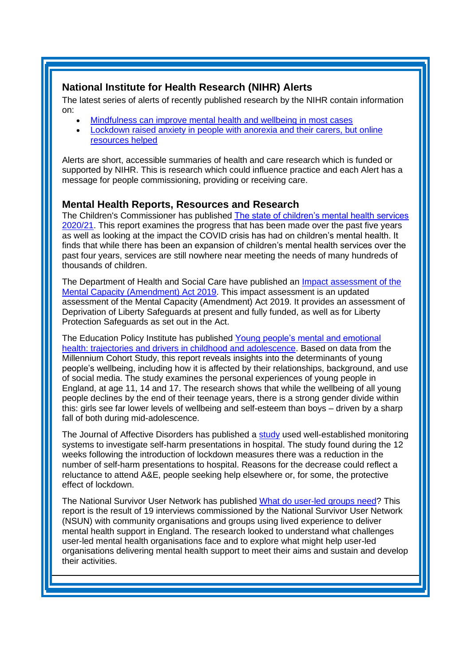# **National Institute for Health Research (NIHR) Alerts**

The latest series of alerts of recently published research by the NIHR contain information on:

- [Mindfulness can improve mental health and wellbeing in most cases](https://www.nihr.ac.uk/news/mindfulness-can-improve-mental-health-and-wellbeing-in-most-cases/26560)
- [Lockdown raised anxiety in people with anorexia and their carers, but online](https://evidence.nihr.ac.uk/alert/lockdown-raised-anxiety-in-anorexia-online-resources-helped/)  [resources helped](https://evidence.nihr.ac.uk/alert/lockdown-raised-anxiety-in-anorexia-online-resources-helped/)

Alerts are short, accessible summaries of health and care research which is funded or supported by NIHR. This is research which could influence practice and each Alert has a message for people commissioning, providing or receiving care.

# <span id="page-5-0"></span>**Mental Health Reports, Resources and Research**

The Children's Commissioner has published [The state of children's mental health services](https://www.childrenscommissioner.gov.uk/wp-content/uploads/2021/01/cco-the-state-of-childrens-mental-health-services-2020-21.pdf?utm_source=The%20King%27s%20Fund%20newsletters%20%28main%20account%29&utm_medium=email&utm_campaign=12122403_NEWSL_HMP%202021-01-29&dm_i=21A8,77TPF,FLWT3F,T9IDX,1)  [2020/21.](https://www.childrenscommissioner.gov.uk/wp-content/uploads/2021/01/cco-the-state-of-childrens-mental-health-services-2020-21.pdf?utm_source=The%20King%27s%20Fund%20newsletters%20%28main%20account%29&utm_medium=email&utm_campaign=12122403_NEWSL_HMP%202021-01-29&dm_i=21A8,77TPF,FLWT3F,T9IDX,1) This report examines the progress that has been made over the past five years as well as looking at the impact the COVID crisis has had on children's mental health. It finds that while there has been an expansion of children's mental health services over the past four years, services are still nowhere near meeting the needs of many hundreds of thousands of children.

The Department of Health and Social Care have published an [Impact assessment of the](https://assets.publishing.service.gov.uk/government/uploads/system/uploads/attachment_data/file/956863/Impact-assessment-of-the-MCAA-final.pdf?utm_source=The%20King%27s%20Fund%20newsletters%20%28main%20account%29&utm_medium=email&utm_campaign=12129739_NEWSL_HMP%202021-02-02&dm_i=21A8,77ZD7,FLWT3F,T9TBH,1)  [Mental Capacity \(Amendment\) Act 2019.](https://assets.publishing.service.gov.uk/government/uploads/system/uploads/attachment_data/file/956863/Impact-assessment-of-the-MCAA-final.pdf?utm_source=The%20King%27s%20Fund%20newsletters%20%28main%20account%29&utm_medium=email&utm_campaign=12129739_NEWSL_HMP%202021-02-02&dm_i=21A8,77ZD7,FLWT3F,T9TBH,1) This impact assessment is an updated assessment of the Mental Capacity (Amendment) Act 2019. It provides an assessment of Deprivation of Liberty Safeguards at present and fully funded, as well as for Liberty Protection Safeguards as set out in the Act.

The Education Policy Institute has published [Young people's mental and emotional](https://epi.org.uk/wp-content/uploads/2021/01/EPI-PT_Young-people%E2%80%99s-wellbeing_Jan2021.pdf?utm_source=The%20King%27s%20Fund%20newsletters%20%28main%20account%29&utm_medium=email&utm_campaign=12122403_NEWSL_HMP%202021-01-29&dm_i=21A8,77TPF,FLWT3F,T97P0,1)  [health: trajectories and drivers in childhood and adolescence.](https://epi.org.uk/wp-content/uploads/2021/01/EPI-PT_Young-people%E2%80%99s-wellbeing_Jan2021.pdf?utm_source=The%20King%27s%20Fund%20newsletters%20%28main%20account%29&utm_medium=email&utm_campaign=12122403_NEWSL_HMP%202021-01-29&dm_i=21A8,77TPF,FLWT3F,T97P0,1) Based on data from the Millennium Cohort Study, this report reveals insights into the determinants of young people's wellbeing, including how it is affected by their relationships, background, and use of social media. The study examines the personal experiences of young people in England, at age 11, 14 and 17. The research shows that while the wellbeing of all young people declines by the end of their teenage years, there is a strong gender divide within this: girls see far lower levels of wellbeing and self-esteem than boys – driven by a sharp fall of both during mid-adolescence.

The Journal of Affective Disorders has published a [study](https://www.sciencedirect.com/science/article/pii/S0165032721000288) used well-established monitoring systems to investigate self-harm presentations in hospital. The study found during the 12 weeks following the introduction of lockdown measures there was a reduction in the number of self-harm presentations to hospital. Reasons for the decrease could reflect a reluctance to attend A&E, people seeking help elsewhere or, for some, the protective effect of lockdown.

The National Survivor User Network has published [What do user-led groups need?](https://www.nsun.org.uk/Handlers/Download.ashx?IDMF=07298c4c-3c0e-43c6-bfdd-633086112166&utm_source=The%20King%27s%20Fund%20newsletters%20%28main%20account%29&utm_medium=email&utm_campaign=12093921_NEWSL_HWB_2021_01_25&dm_i=21A8,777Q9,FLWT3F,T6CNA,1) This report is the result of 19 interviews commissioned by the National Survivor User Network (NSUN) with community organisations and groups using lived experience to deliver mental health support in England. The research looked to understand what challenges user-led mental health organisations face and to explore what might help user-led organisations delivering mental health support to meet their aims and sustain and develop their activities.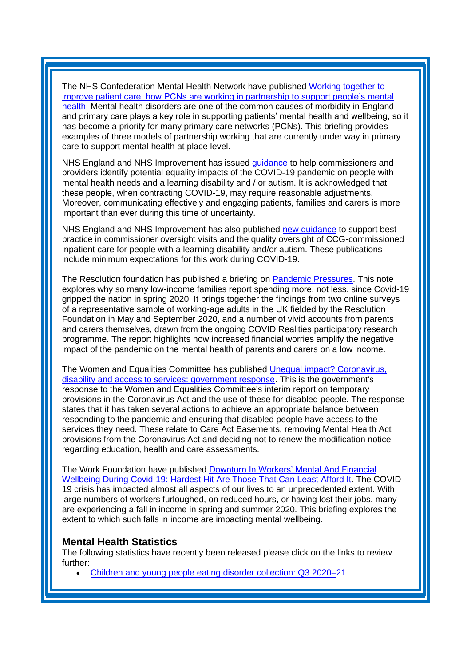The NHS Confederation Mental Health Network have published [Working together to](https://www.nhsconfed.org/-/media/Confederation/Files/Publications/Documents/Working-together-to-improve-patient-care.pdf?utm_source=The%20King%27s%20Fund%20newsletters%20%28main%20account%29&utm_medium=email&utm_campaign=12156420_NEWSL_HMP%202021-02-12&dm_i=21A8,78JYC,FLWT3F,TCNR5,1)  [improve patient care: how PCNs are working in partnership to support people's mental](https://www.nhsconfed.org/-/media/Confederation/Files/Publications/Documents/Working-together-to-improve-patient-care.pdf?utm_source=The%20King%27s%20Fund%20newsletters%20%28main%20account%29&utm_medium=email&utm_campaign=12156420_NEWSL_HMP%202021-02-12&dm_i=21A8,78JYC,FLWT3F,TCNR5,1)  [health.](https://www.nhsconfed.org/-/media/Confederation/Files/Publications/Documents/Working-together-to-improve-patient-care.pdf?utm_source=The%20King%27s%20Fund%20newsletters%20%28main%20account%29&utm_medium=email&utm_campaign=12156420_NEWSL_HMP%202021-02-12&dm_i=21A8,78JYC,FLWT3F,TCNR5,1) Mental health disorders are one of the common causes of morbidity in England and primary care plays a key role in supporting patients' mental health and wellbeing, so it has become a priority for many primary care networks (PCNs). This briefing provides examples of three models of partnership working that are currently under way in primary care to support mental health at place level.

NHS England and NHS Improvement has issued [guidance](https://www.england.nhs.uk/coronavirus/wp-content/uploads/sites/52/2020/03/C0590-Patient-carer-and-family-engagement-and-communication-during-the-coronavirus-COVID-19-pandemic.pdf) to help commissioners and providers identify potential equality impacts of the COVID-19 pandemic on people with mental health needs and a learning disability and / or autism. It is acknowledged that these people, when contracting COVID-19, may require reasonable adjustments. Moreover, communicating effectively and engaging patients, families and carers is more important than ever during this time of uncertainty.

NHS England and NHS Improvement has also published [new guidance](https://www.england.nhs.uk/publication/monitoring-the-quality-of-care-and-safety-for-people-with-a-learning-disability-and-or-people-who-are-autistic-in-inpatient-care/) to support best practice in commissioner oversight visits and the quality oversight of CCG-commissioned inpatient care for people with a learning disability and/or autism. These publications include minimum expectations for this work during COVID-19.

The Resolution foundation has published a briefing on [Pandemic Pressures.](https://www.resolutionfoundation.org/app/uploads/2021/01/Pandemic-pressures.pdf?utm_source=The%20King%27s%20Fund%20newsletters%20%28main%20account%29&utm_medium=email&utm_campaign=12093921_NEWSL_HWB_2021_01_25&dm_i=21A8,777Q9,FLWT3F,T69XG,1) This note explores why so many low-income families report spending more, not less, since Covid-19 gripped the nation in spring 2020. It brings together the findings from two online surveys of a representative sample of working-age adults in the UK fielded by the Resolution Foundation in May and September 2020, and a number of vivid accounts from parents and carers themselves, drawn from the ongoing COVID Realities participatory research programme. The report highlights how increased financial worries amplify the negative impact of the pandemic on the mental health of parents and carers on a low income.

The Women and Equalities Committee has published [Unequal impact? Coronavirus,](https://committees.parliament.uk/publications/4407/documents/44588/default/?utm_source=The%20King%27s%20Fund%20newsletters%20%28main%20account%29&utm_medium=email&utm_campaign=12113491_NEWSL_HMP%202021-01-26&dm_i=21A8,77MTV,FLWT3F,T8N86,1)  [disability and access to services: government response.](https://committees.parliament.uk/publications/4407/documents/44588/default/?utm_source=The%20King%27s%20Fund%20newsletters%20%28main%20account%29&utm_medium=email&utm_campaign=12113491_NEWSL_HMP%202021-01-26&dm_i=21A8,77MTV,FLWT3F,T8N86,1) This is the government's response to the Women and Equalities Committee's interim report on temporary provisions in the Coronavirus Act and the use of these for disabled people. The response states that it has taken several actions to achieve an appropriate balance between responding to the pandemic and ensuring that disabled people have access to the services they need. These relate to Care Act Easements, removing Mental Health Act provisions from the Coronavirus Act and deciding not to renew the modification notice regarding education, health and care assessments.

The Work Foundation have published [Downturn In Workers' Mental And Financial](https://www.lancaster.ac.uk/media/lancaster-university/content-assets/documents/lums/work-foundation/reports/7090-LUni-WorkFoundation-MentalHealthv4.pdf)  [Wellbeing During Covid-19: Hardest Hit Are Those That Can Least Afford It.](https://www.lancaster.ac.uk/media/lancaster-university/content-assets/documents/lums/work-foundation/reports/7090-LUni-WorkFoundation-MentalHealthv4.pdf) The COVID-19 crisis has impacted almost all aspects of our lives to an unprecedented extent. With large numbers of workers furloughed, on reduced hours, or having lost their jobs, many are experiencing a fall in income in spring and summer 2020. This briefing explores the extent to which such falls in income are impacting mental wellbeing.

#### <span id="page-6-0"></span>**Mental Health Statistics**

The following statistics have recently been released please click on the links to review further:

• [Children and young people eating disorder collection: Q3 2020](https://kingsfundmail.org.uk/21A8-78JYC-FLWT3F-4CJE8Y-1/c.aspx)[–2](https://kingsfundmail.org.uk/21A8-78JYC-FLWT3F-4CGV71-1/c.aspx)1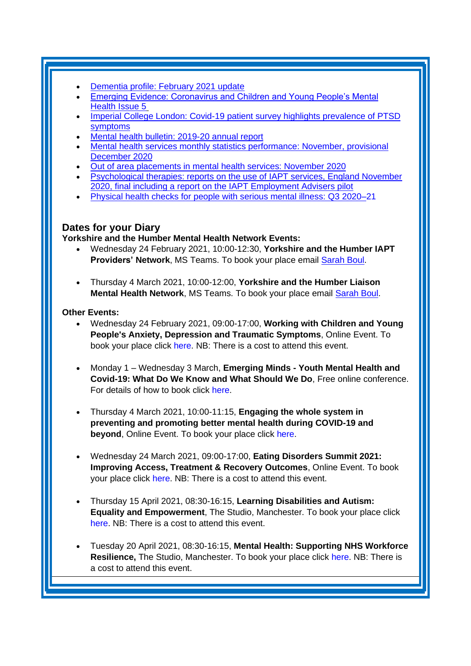- [Dementia profile: February 2021 update](https://kingsfundmail.org.uk/21A8-786RT-FLWT3F-4C8DY4-1/c.aspx)
- Emerging Evidence: Coronavirus and Children and Young People's Mental Health [Issue 5](https://www.ucl.ac.uk/evidence-based-practice-unit/sites/evidence-based-practice-unit/files/emerging_evidence_5_final.pdf)
- [Imperial College London: Covid-19 patient survey highlights prevalence of PTSD](https://kingsfundmail.org.uk/21A8-78JYC-FLWT3F-4CHN2D-1/c.aspx)  [symptoms](https://kingsfundmail.org.uk/21A8-78JYC-FLWT3F-4CHN2D-1/c.aspx)
- [Mental health bulletin: 2019-20 annual report](https://kingsfundmail.org.uk/21A8-77TPF-FLWT3F-4C0CBN-1/c.aspx)
- [Mental health services monthly statistics performance: November, provisional](https://kingsfundmail.org.uk/21A8-78JYC-FLWT3F-4CJ1TT-1/c.aspx)  [December 2020](https://kingsfundmail.org.uk/21A8-78JYC-FLWT3F-4CJ1TT-1/c.aspx)
- [Out of area placements in mental health services: November 2020](https://kingsfundmail.org.uk/21A8-78JYC-FLWT3F-4CJD09-1/c.aspx)
- [Psychological therapies: reports on the use of IAPT services, England November](https://kingsfundmail.org.uk/21A8-78JYC-FLWT3F-4CJD6Z-1/c.aspx)  [2020, final including a report on the IAPT Employment Advisers pilot](https://kingsfundmail.org.uk/21A8-78JYC-FLWT3F-4CJD6Z-1/c.aspx)
- [Physical health checks for people with serious mental illness: Q3 2020](https://kingsfundmail.org.uk/21A8-78JYC-FLWT3F-4CJE8V-1/c.aspx)[–2](https://kingsfundmail.org.uk/21A8-78JYC-FLWT3F-4CGV71-1/c.aspx)1

# <span id="page-7-0"></span>**Dates for your Diary**

**Yorkshire and the Humber Mental Health Network Events:**

- Wednesday 24 February 2021, 10:00-12:30, **Yorkshire and the Humber IAPT Providers' Network**, MS Teams. To book your place email [Sarah Boul.](mailto:sarah.boul@nhs.net)
- Thursday 4 March 2021, 10:00-12:00, **Yorkshire and the Humber Liaison Mental Health Network**, MS Teams. To book your place email [Sarah Boul.](mailto:sarah.boul@nhs.net)

### **Other Events:**

- Wednesday 24 February 2021, 09:00-17:00, **Working with Children and Young People's Anxiety, Depression and Traumatic Symptoms**, Online Event. To book your place click [here.](https://www.healthcareconferencesuk.co.uk/conferences-masterclasses/cyp-depression-modular-approach?utm_medium=email&utm_source=HCUKkt&utm_campaign=CYPDep0221) NB: There is a cost to attend this event.
- Monday 1 Wednesday 3 March, **Emerging Minds - [Youth Mental Health and](https://emergingminds.org.uk/wp-content/uploads/2020/12/Conference-poster.pdf)  [Covid-19: What Do We Know and What Should We Do](https://emergingminds.org.uk/wp-content/uploads/2020/12/Conference-poster.pdf)**, Free online conference. For details of how to book [click here.](https://zoom.us/webinar/register/WN_l1Ta6NdITQKSgGZzF6KwMw)
- Thursday 4 March 2021, 10:00-11:15, **Engaging the whole system in preventing and promoting better mental health during COVID-19 and beyond**, Online Event. To book your place click [here.](https://www.eventbrite.co.uk/e/whole-systems-to-prevent-and-promote-mental-health-during-covid-19-tickets-141167356363)
- Wednesday 24 March 2021, 09:00-17:00, **Eating Disorders Summit 2021: Improving Access, Treatment & Recovery Outcomes**, Online Event. To book your place click [here.](https://www.healthcareconferencesuk.co.uk/conferences-masterclasses/eating-disorders?utm_medium=email&utm_source=HCUKNM&utm_campaign=ED240321) NB: There is a cost to attend this event.
- Thursday 15 April 2021, 08:30-16:15, **Learning Disabilities and Autism: Equality and Empowerment**, The Studio, Manchester. To book your place click [here.](https://www.openforumevents.co.uk/events/2021/learning-disabilities-and-autism-equality-and-empowerment/?utm_source=LD+OC+30.10&utm_medium=email&utm_campaign=LD+2021+Wk+1) NB: There is a cost to attend this event.
- Tuesday 20 April 2021, 08:30-16:15, **Mental Health: Supporting NHS Workforce Resilience,** The Studio, Manchester. To book your place click [here.](https://www.openforumevents.co.uk/events/2021/mental-health-supporting-nhs-workforce-resilience/?utm_source=MHWF+2021+Wk+1+4+NHS+05.11&utm_medium=email&utm_campaign=MHWF+2021+Wk+1) NB: There is a cost to attend this event.